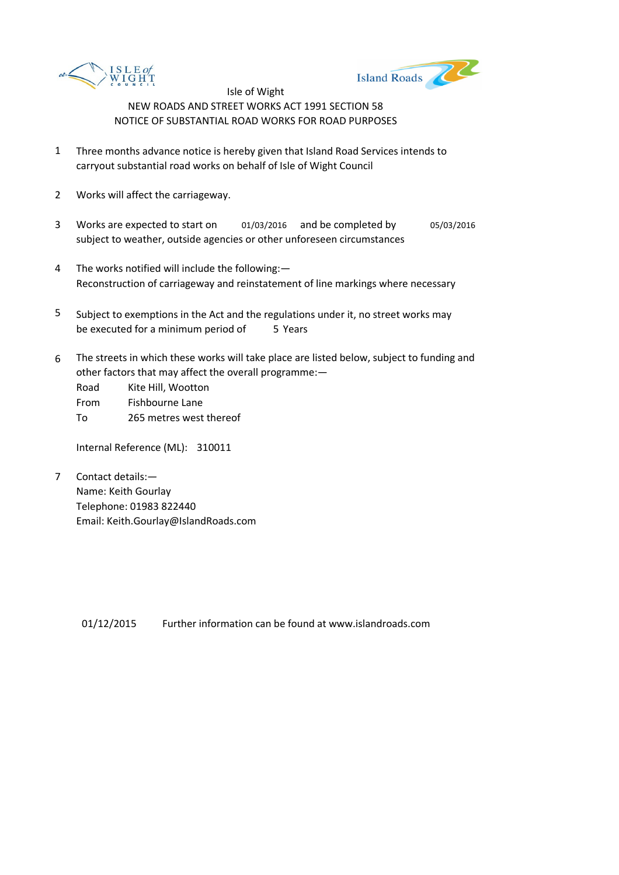



- 1 Three months advance notice is hereby given that Island Road Services intends to carryout substantial road works on behalf of Isle of Wight Council
- 2 Works will affect the carriageway.
- 3 Works are expected to start on 01/03/2016 and be completed by 05/03/2016 subject to weather, outside agencies or other unforeseen circumstances
- 4 The works notified will include the following:— Reconstruction of carriageway and reinstatement of line markings where necessary
- 5 be executed for a minimum period of 5 Years Subject to exemptions in the Act and the regulations under it, no street works may
- 6 The streets in which these works will take place are listed below, subject to funding and other factors that may affect the overall programme:—

Road Kite Hill, Wootton

From Fishbourne Lane

To 265 metres west thereof

Internal Reference (ML): 310011

7 Contact details:— Name: Keith Gourlay Telephone: 01983 822440 Email: Keith.Gourlay@IslandRoads.com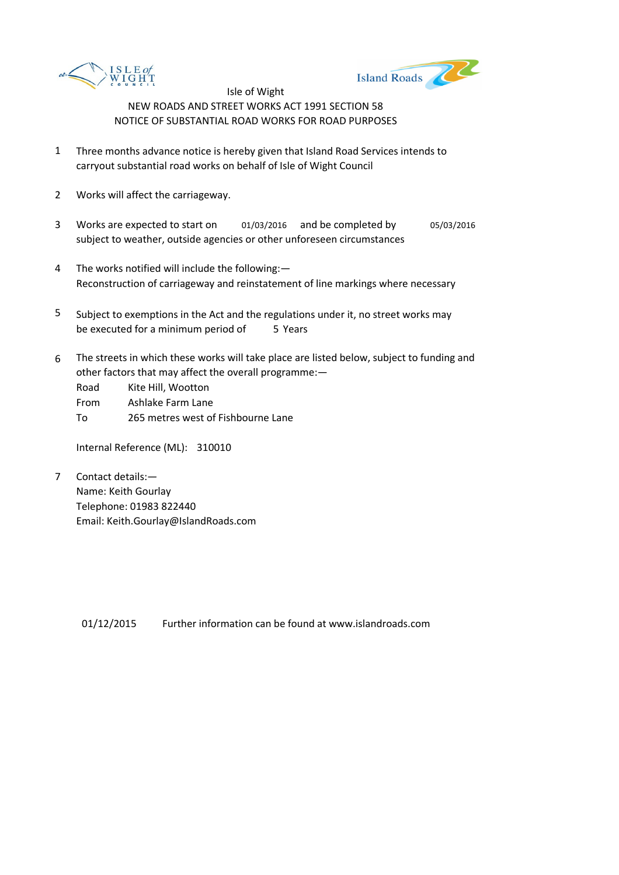



- 1 Three months advance notice is hereby given that Island Road Services intends to carryout substantial road works on behalf of Isle of Wight Council
- 2 Works will affect the carriageway.
- 3 Works are expected to start on 01/03/2016 and be completed by 05/03/2016 subject to weather, outside agencies or other unforeseen circumstances
- 4 The works notified will include the following:— Reconstruction of carriageway and reinstatement of line markings where necessary
- 5 be executed for a minimum period of 5 Years Subject to exemptions in the Act and the regulations under it, no street works may
- 6 The streets in which these works will take place are listed below, subject to funding and other factors that may affect the overall programme:—

Road Kite Hill, Wootton From Ashlake Farm Lane

To 265 metres west of Fishbourne Lane

Internal Reference (ML): 310010

7 Contact details:— Name: Keith Gourlay Telephone: 01983 822440 Email: Keith.Gourlay@IslandRoads.com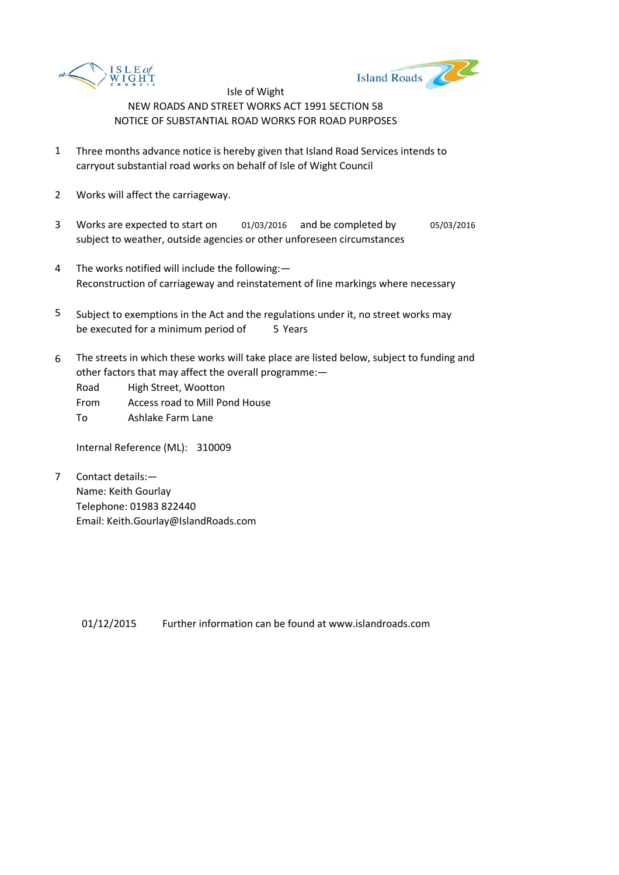



- 1 Three months advance notice is hereby given that Island Road Services intends to carryout substantial road works on behalf of Isle of Wight Council
- 2 Works will affect the carriageway.
- 3 Works are expected to start on 01/03/2016 and be completed by 05/03/2016 subject to weather, outside agencies or other unforeseen circumstances
- 4 The works notified will include the following:— Reconstruction of carriageway and reinstatement of line markings where necessary
- 5 be executed for a minimum period of 5 Years Subject to exemptions in the Act and the regulations under it, no street works may
- 6 The streets in which these works will take place are listed below, subject to funding and other factors that may affect the overall programme:—

Road High Street, Wootton

- From Access road to Mill Pond House
- To Ashlake Farm Lane

Internal Reference (ML): 310009

7 Contact details:— Name: Keith Gourlay Telephone: 01983 822440 Email: Keith.Gourlay@IslandRoads.com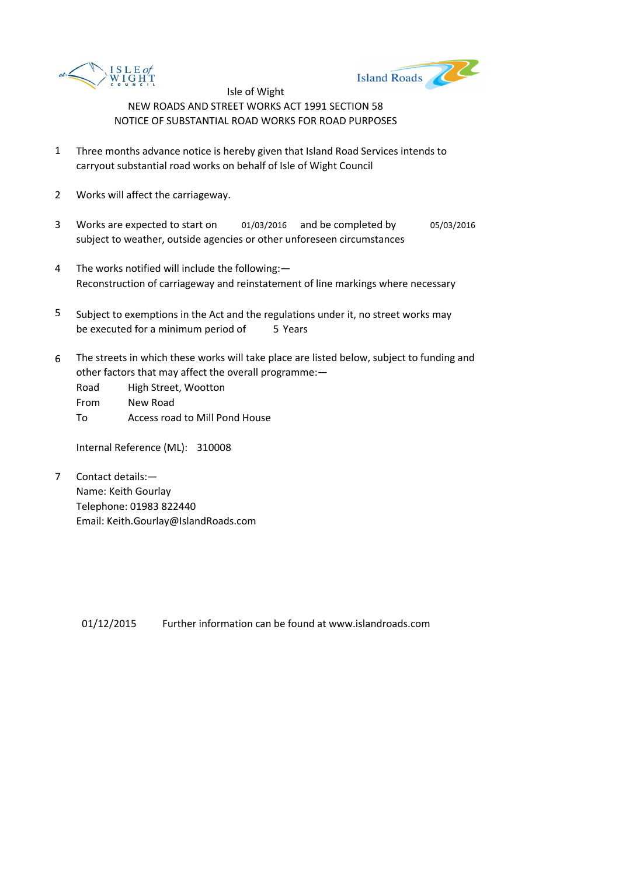



- 1 Three months advance notice is hereby given that Island Road Services intends to carryout substantial road works on behalf of Isle of Wight Council
- 2 Works will affect the carriageway.
- 3 Works are expected to start on 01/03/2016 and be completed by 05/03/2016 subject to weather, outside agencies or other unforeseen circumstances
- 4 The works notified will include the following:— Reconstruction of carriageway and reinstatement of line markings where necessary
- 5 be executed for a minimum period of 5 Years Subject to exemptions in the Act and the regulations under it, no street works may
- 6 The streets in which these works will take place are listed below, subject to funding and other factors that may affect the overall programme:—
	- Road High Street, Wootton From New Road To Access road to Mill Pond House

Internal Reference (ML): 310008

7 Contact details:— Name: Keith Gourlay Telephone: 01983 822440 Email: Keith.Gourlay@IslandRoads.com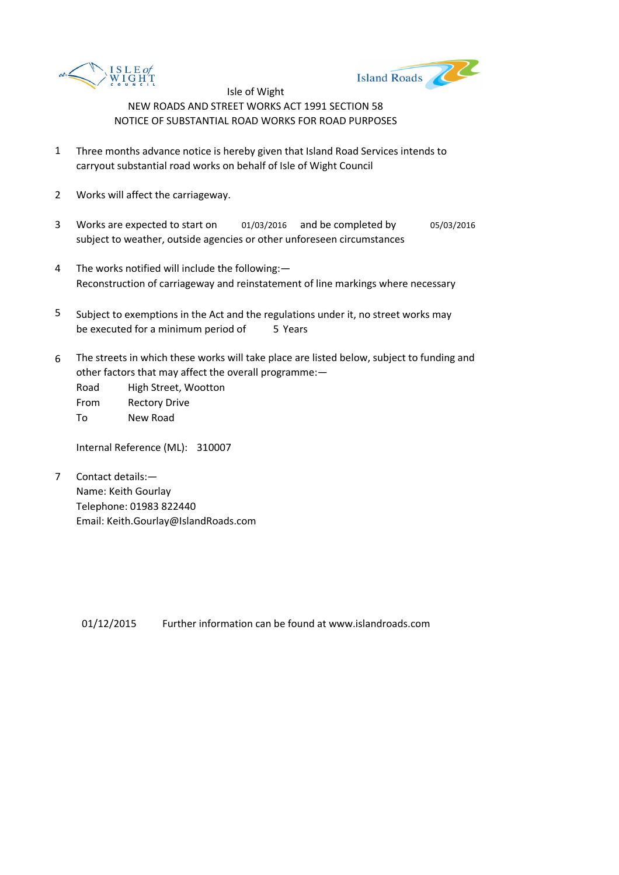



- 1 Three months advance notice is hereby given that Island Road Services intends to carryout substantial road works on behalf of Isle of Wight Council
- 2 Works will affect the carriageway.
- 3 Works are expected to start on 01/03/2016 and be completed by 05/03/2016 subject to weather, outside agencies or other unforeseen circumstances
- 4 The works notified will include the following:— Reconstruction of carriageway and reinstatement of line markings where necessary
- 5 be executed for a minimum period of 5 Years Subject to exemptions in the Act and the regulations under it, no street works may
- 6 The streets in which these works will take place are listed below, subject to funding and other factors that may affect the overall programme:—

Road High Street, Wootton From Rectory Drive To New Road

Internal Reference (ML): 310007

7 Contact details:— Name: Keith Gourlay Telephone: 01983 822440 Email: Keith.Gourlay@IslandRoads.com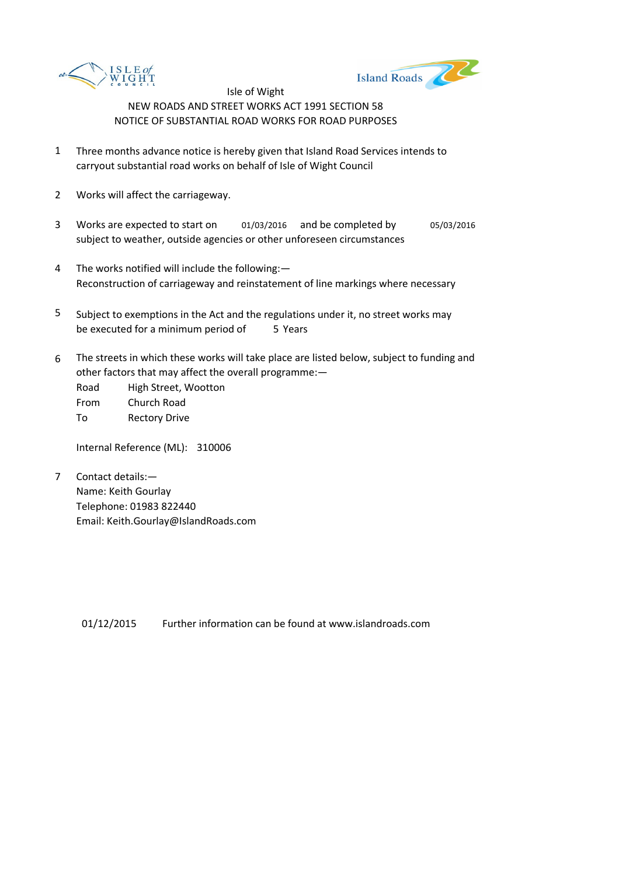



- 1 Three months advance notice is hereby given that Island Road Services intends to carryout substantial road works on behalf of Isle of Wight Council
- 2 Works will affect the carriageway.
- 3 Works are expected to start on 01/03/2016 and be completed by 05/03/2016 subject to weather, outside agencies or other unforeseen circumstances
- 4 The works notified will include the following:— Reconstruction of carriageway and reinstatement of line markings where necessary
- 5 be executed for a minimum period of 5 Years Subject to exemptions in the Act and the regulations under it, no street works may
- 6 The streets in which these works will take place are listed below, subject to funding and other factors that may affect the overall programme:—

Road High Street, Wootton From Church Road To Rectory Drive

Internal Reference (ML): 310006

7 Contact details:— Name: Keith Gourlay Telephone: 01983 822440 Email: Keith.Gourlay@IslandRoads.com